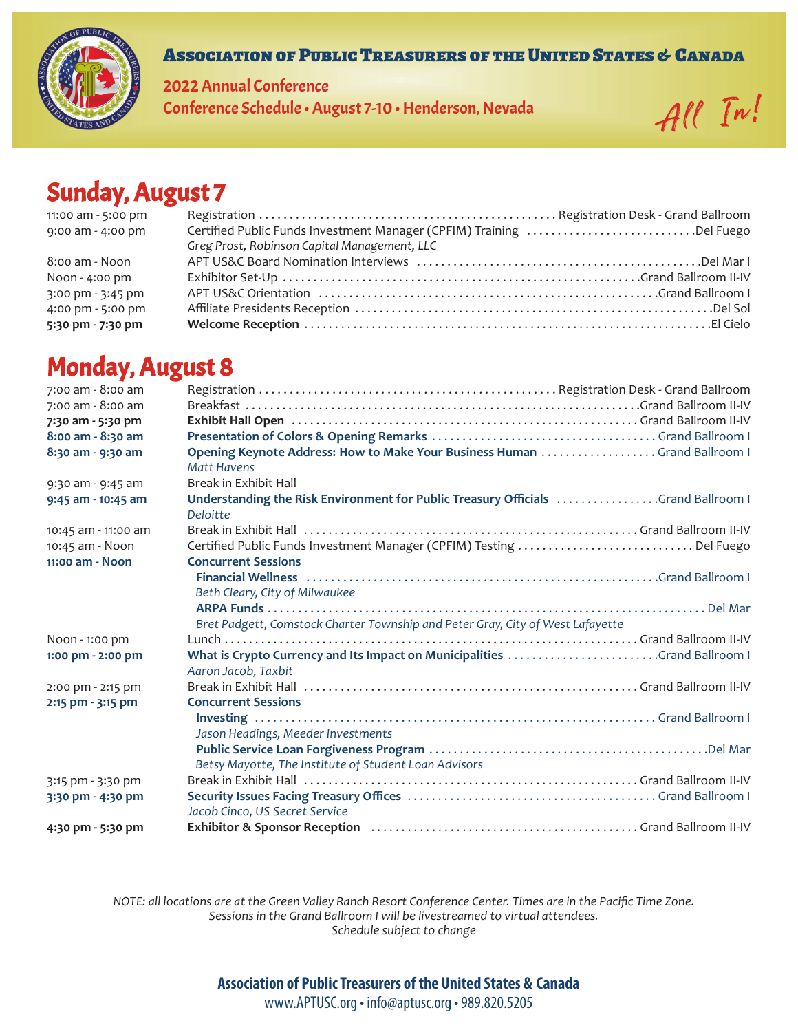

#### Association of Public Treasurers of the United States & Canada

2022 Annual Conference Conference Schedule • August 7-10 • Henderson, Nevada All  $\pi'$ 

# Sunday, August 7

| 11:00 am - 5:00 pm |                                                                      |  |
|--------------------|----------------------------------------------------------------------|--|
| 9:00 am - 4:00 pm  | Certified Public Funds Investment Manager (CPFIM) Training Del Fuego |  |
|                    | Greg Prost, Robinson Capital Management, LLC                         |  |
| 8:00 am - Noon     |                                                                      |  |
| Noon - 4:00 pm     |                                                                      |  |
| 3:00 pm - 3:45 pm  |                                                                      |  |
| 4:00 pm - 5:00 pm  |                                                                      |  |
| 5:30 pm - 7:30 pm  |                                                                      |  |

### Monday, August 8

| 7:00 am - 8:00 am                  |                                                                                                                                                 |
|------------------------------------|-------------------------------------------------------------------------------------------------------------------------------------------------|
| 7:00 am - 8:00 am                  |                                                                                                                                                 |
| 7:30 am - 5:30 pm                  |                                                                                                                                                 |
| 8:00 am - 8:30 am                  |                                                                                                                                                 |
| 8:30 am - 9:30 am                  | Opening Keynote Address: How to Make Your Business Human  Grand Ballroom I<br><b>Matt Havens</b>                                                |
| 9:30 am - 9:45 am                  | Break in Exhibit Hall                                                                                                                           |
| 9:45 am - 10:45 am                 | Understanding the Risk Environment for Public Treasury Officials Grand Ballroom I<br>Deloitte                                                   |
| 10:45 am - 11:00 am                | Break in Exhibit Hall Nettlebrow (1998) 4. The Street Hall Community Crand Ballroom II-IV                                                       |
| 10:45 am - Noon<br>11:00 am - Noon | Certified Public Funds Investment Manager (CPFIM) Testing Del Fuego<br><b>Concurrent Sessions</b>                                               |
|                                    | Financial Wellness (all continuous continuous continuous continuous continuous continuous continuous continuo<br>Beth Cleary, City of Milwaukee |
|                                    | Bret Padgett, Comstock Charter Township and Peter Gray, City of West Lafayette                                                                  |
| Noon - 1:00 pm                     |                                                                                                                                                 |
| 1:00 pm - 2:00 pm                  | What is Crypto Currency and Its Impact on Municipalities Grand Ballroom I<br>Aaron Jacob, Taxbit                                                |
| 2:00 pm - 2:15 pm                  |                                                                                                                                                 |
| 2:15 pm - 3:15 pm                  | <b>Concurrent Sessions</b>                                                                                                                      |
|                                    | Jason Headings, Meeder Investments                                                                                                              |
|                                    | Betsy Mayotte, The Institute of Student Loan Advisors                                                                                           |
| 3:15 pm - 3:30 pm                  |                                                                                                                                                 |
| 3:30 pm - 4:30 pm                  |                                                                                                                                                 |
|                                    | Jacob Cinco, US Secret Service                                                                                                                  |
| 4:30 pm - 5:30 pm                  | Exhibitor & Sponsor Reception (all contains and all compared all compared Ballroom II-IV)                                                       |

*NOTE: all locations are at the Green Valley Ranch Resort Conference Center. Times are in the Pacific Time Zone. Sessions in the Grand Ballroom I will be livestreamed to virtual attendees. Schedule subject to change*

**Association of Public Treasurers of the United States & Canada** 

www.APTUSC.org • info@aptusc.org • 989.820.5205